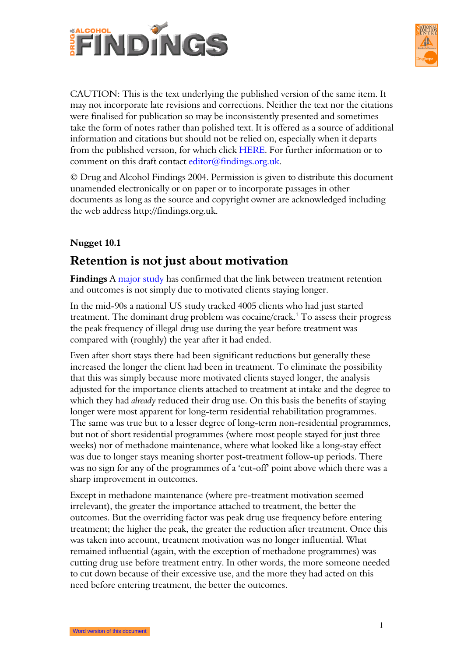



CAUTION: This is the text underlying the published version of the same item. It may not incorporate late revisions and corrections. Neither the text nor the citations were finalised for publication so may be inconsistently presented and sometimes take the form of notes rather than polished text. It is offered as a source of additional information and citations but should not be relied on, especially when it departs from the published version, for which click HERE. For further information or to comment on this draft contact editor@findings.org.uk.

© Drug and Alcohol Findings 2004. Permission is given to distribute this document unamended electronically or on paper or to incorporate passages in other documents as long as the source and copyright owner are acknowledged including the web address http://findings.org.uk.

# **Nugget 10.1**

# **Retention is not just about motivation**

**Findings** A [major](#page-1-0) study has confirmed that the link between treatment retention and outcomes is not simply due to motivated clients staying longer.

In the mid-90s a national US study tracked 4005 clients who had just started treatment. The dominant drug problem was cocaine/crack.<sup>[1](#page-10-0)</sup> To assess their progress the peak frequency of illegal drug use during the year before treatment was compared with (roughly) the year after it had ended.

Even after short stays there had been significant reductions but generally these increased the longer the client had been in treatment. To eliminate the possibility that this was simply because more motivated clients stayed longer, the analysis adjusted for the importance clients attached to treatment at intake and the degree to which they had *already* reduced their drug use. On this basis the benefits of staying longer were most apparent for long-term residential rehabilitation programmes. The same was true but to a lesser degree of long-term non-residential programmes, but not of short residential programmes (where most people stayed for just three weeks) nor of methadone maintenance, where what looked like a long-stay effect was due to longer stays meaning shorter post-treatment follow-up periods. There was no sign for any of the programmes of a 'cut-off' point above which there was a sharp improvement in outcomes.

Except in methadone maintenance (where pre-treatment motivation seemed irrelevant), the greater the importance attached to treatment, the better the outcomes. But the overriding factor was peak drug use frequency before entering treatment; the higher the peak, the greater the reduction after treatment. Once this was taken into account, treatment motivation was no longer influential. What remained influential (again, with the exception of methadone programmes) was cutting drug use before treatment entry. In other words, the more someone needed to cut down because of their excessive use, and the more they had acted on this need before entering treatment, the better the outcomes.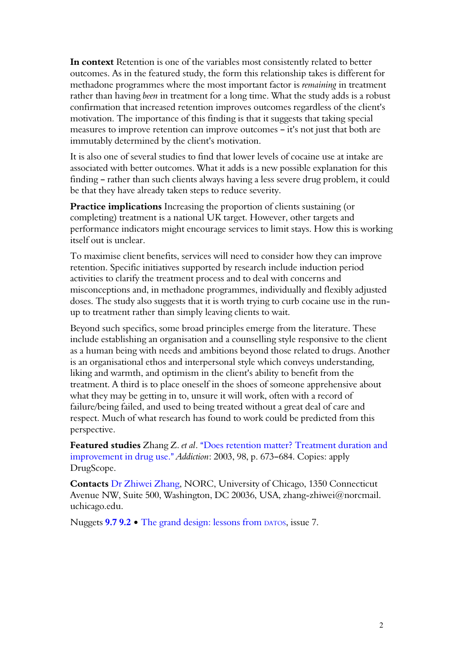<span id="page-1-0"></span>**In context** Retention is one of the variables most consistently related to better outcomes. As in the featured study, the form this relationship takes is different for methadone programmes where the most important factor is *remaining* in treatment rather than having *been* in treatment for a long time. What the study adds is a robust confirmation that increased retention improves outcomes regardless of the client's motivation. The importance of this finding is that it suggests that taking special measures to improve retention can improve outcomes  $-$  it's not just that both are immutably determined by the client's motivation.

It is also one of several studies to find that lower levels of cocaine use at intake are associated with better outcomes. What it adds is a new possible explanation for this finding - rather than such clients always having a less severe drug problem, it could be that they have already taken steps to reduce severity.

**Practice implications** Increasing the proportion of clients sustaining (or completing) treatment is a national UK target. However, other targets and performance indicators might encourage services to limit stays. How this is working itself out is unclear.

To maximise client benefits, services will need to consider how they can improve retention. Specific initiatives supported by research include induction period activities to clarify the treatment process and to deal with concerns and misconceptions and, in methadone programmes, individually and flexibly adjusted doses. The study also suggests that it is worth trying to curb cocaine use in the runup to treatment rather than simply leaving clients to wait.

Beyond such specifics, some broad principles emerge from the literature. These include establishing an organisation and a counselling style responsive to the client as a human being with needs and ambitions beyond those related to drugs. Another is an organisational ethos and interpersonal style which conveys understanding, liking and warmth, and optimism in the client's ability to benefit from the treatment. A third is to place oneself in the shoes of someone apprehensive about what they may be getting in to, unsure it will work, often with a record of failure/being failed, and used to being treated without a great deal of care and respect. Much of what research has found to work could be predicted from this perspective.

**Featured studies** Zhang Z. *et al*. ADoes retention matter? Treatment duration and improvement in drug use." *Addiction*: 2003, 98, p. 673–684. Copies: apply DrugScope.

**Contacts** Dr Zhiwei Zhang, NORC, University of Chicago, 1350 Connecticut Avenue NW, Suite 500, Washington, DC 20036, USA, zhang-zhiwei@norcmail. uchicago.edu.

Nuggets **9.7 9.2** • The grand design: lessons from DATOS, issue 7.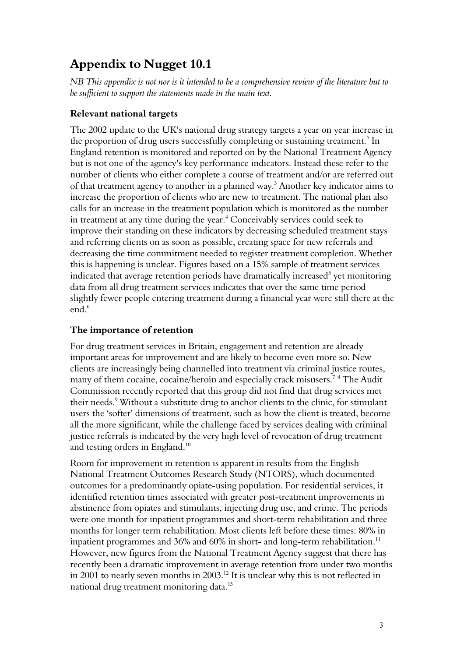# **Appendix to Nugget 10.1**

*NB This appendix is not nor is it intended to be a comprehensive review of the literature but to be sufficient to support the statements made in the main text.* 

### **Relevant national targets**

The 2002 update to the UK's national drug strategy targets a year on year increase in the proportion of drug users successfully completing or sustaining treatment. $^2$  $^2$  In England retention is monitored and reported on by the National Treatment Agency but is not one of the agency's key performance indicators. Instead these refer to the number of clients who either complete a course of treatment and/or are referred out of that treatment agency to another in a planned way.<sup>[3](#page-10-2)</sup> Another key indicator aims to increase the proportion of clients who are new to treatment. The national plan also calls for an increase in the treatment population which is monitored as the number in treatment at any time during the year. $\rm ^4$  $\rm ^4$  Conceivably services could seek to improve their standing on these indicators by decreasing scheduled treatment stays and referring clients on as soon as possible, creating space for new referrals and decreasing the time commitment needed to register treatment completion. Whether this is happening is unclear. Figures based on a 15% sample of treatment services indicated that average retention periods have dramatically increased $^5$  $^5$  yet monitoring data from all drug treatment services indicates that over the same time period slightly fewer people entering treatment during a financial year were still there at the end.<sup>[6](#page-10-5)</sup>

# **The importance of retention**

For drug treatment services in Britain, engagement and retention are already important areas for improvement and are likely to become even more so. New clients are increasingly being channelled into treatment via criminal justice routes, many of them cocaine, cocaine/heroin and especially crack misusers.<sup>[7](#page-10-6)[8](#page-10-7)</sup> The Audit Commission recently reported that this group did not find that drug services met their needs.<sup>[9](#page-10-8)</sup> Without a substitute drug to anchor clients to the clinic, for stimulant users the 'softer' dimensions of treatment, such as how the client is treated, become all the more significant, while the challenge faced by services dealing with criminal justice referrals is indicated by the very high level of revocation of drug treatment and testing orders in England.<sup>[10](#page-10-9)</sup>

Room for improvement in retention is apparent in results from the English National Treatment Outcomes Research Study (NTORS), which documented outcomes for a predominantly opiate-using population. For residential services, it identified retention times associated with greater post-treatment improvements in abstinence from opiates and stimulants, injecting drug use, and crime. The periods were one month for inpatient programmes and short-term rehabilitation and three months for longer term rehabilitation. Most clients left before these times: 80% in inpatient programmes and  $36\%$  and  $60\%$  in short- and long-term rehabilitation.<sup>[11](#page-10-10)</sup> However, new figures from the National Treatment Agency suggest that there has recently been a dramatic improvement in average retention from under two months in 2001 to nearly seven months in 2003.<sup>[12](#page-10-11)</sup> It is unclear why this is not reflected in national drug treatment monitoring data.[13](#page-10-12)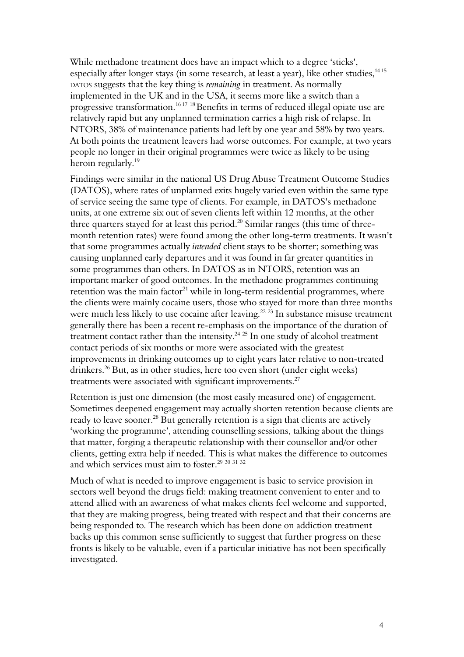While methadone treatment does have an impact which to a degree 'sticks', especially after longer stays (in some research, at least a year), like other studies,<sup>[14](#page-10-13)[15](#page-10-14)</sup> DATOS suggests that the key thing is *remaining* in treatment. As normally implemented in the UK and in the USA, it seems more like a switch than a progressive transformation.<sup>[16](#page-10-15) [17](#page-10-16)</sup> <sup>[18](#page-10-17)</sup> Benefits in terms of reduced illegal opiate use are relatively rapid but any unplanned termination carries a high risk of relapse. In NTORS, 38% of maintenance patients had left by one year and 58% by two years. At both points the treatment leavers had worse outcomes. For example, at two years people no longer in their original programmes were twice as likely to be using heroin regularly.<sup>[19](#page-10-18)</sup>

Findings were similar in the national US Drug Abuse Treatment Outcome Studies (DATOS), where rates of unplanned exits hugely varied even within the same type of service seeing the same type of clients. For example, in DATOS's methadone units, at one extreme six out of seven clients left within 12 months, at the other three quarters stayed for at least this period.<sup>[20](#page-10-19)</sup> Similar ranges (this time of threemonth retention rates) were found among the other long-term treatments. It wasn't that some programmes actually *intended* client stays to be shorter; something was causing unplanned early departures and it was found in far greater quantities in some programmes than others. In DATOS as in NTORS, retention was an important marker of good outcomes. In the methadone programmes continuing retention was the main factor $^{21}$  $^{21}$  $^{21}$  while in long-term residential programmes, where the clients were mainly cocaine users, those who stayed for more than three months were much less likely to use cocaine after leaving.<sup>[22](#page-10-21) [23](#page-10-22)</sup> In substance misuse treatment generally there has been a recent re-emphasis on the importance of the duration of treatment contact rather than the intensity. $24 25$  $24 25$  $24 25$  In one study of alcohol treatment contact periods of six months or more were associated with the greatest improvements in drinking outcomes up to eight years later relative to non-treated drinkers.<sup>[26](#page-10-25)</sup> But, as in other studies, here too even short (under eight weeks) treatments were associated with significant improvements. $27$ 

Retention is just one dimension (the most easily measured one) of engagement. Sometimes deepened engagement may actually shorten retention because clients are ready to leave sooner.<sup>[28](#page-11-1)</sup> But generally retention is a sign that clients are actively 'working the programme', attending counselling sessions, talking about the things that matter, forging a therapeutic relationship with their counsellor and/or other clients, getting extra help if needed. This is what makes the difference to outcomes and which services must aim to foster.<sup>[29](#page-11-2)</sup> [30](#page-11-3) [31](#page-11-4) [32](#page-11-5)

Much of what is needed to improve engagement is basic to service provision in sectors well beyond the drugs field: making treatment convenient to enter and to attend allied with an awareness of what makes clients feel welcome and supported, that they are making progress, being treated with respect and that their concerns are being responded to. The research which has been done on addiction treatment backs up this common sense sufficiently to suggest that further progress on these fronts is likely to be valuable, even if a particular initiative has not been specifically investigated.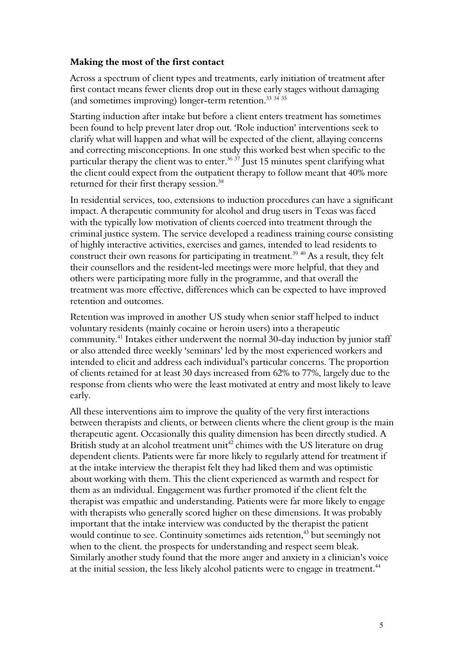#### **Making the most of the first contact**

Across a spectrum of client types and treatments, early initiation of treatment after first contact means fewer clients drop out in these early stages without damaging (and sometimes improving) longer-term retention.<sup>[33](#page-11-6) [34](#page-11-7)</sup> <sup>[35](#page-11-8)</sup>

Starting induction after intake but before a client enters treatment has sometimes been found to help prevent later drop out. 'Role induction' interventions seek to clarify what will happen and what will be expected of the client, allaying concerns and correcting misconceptions. In one study this worked best when specific to the particular therapy the client was to enter.<sup>[36](#page-11-9) [37](#page-11-10)</sup> Just 15 minutes spent clarifying what the client could expect from the outpatient therapy to follow meant that 40% more returned for their first therapy session.<sup>[38](#page-11-11)</sup>

In residential services, too, extensions to induction procedures can have a significant impact. A therapeutic community for alcohol and drug users in Texas was faced with the typically low motivation of clients coerced into treatment through the criminal justice system. The service developed a readiness training course consisting of highly interactive activities, exercises and games, intended to lead residents to construct their own reasons for participating in treatment.<sup>[39](#page-11-12) [40](#page-11-13)</sup> As a result, they felt their counsellors and the resident-led meetings were more helpful, that they and others were participating more fully in the programme, and that overall the treatment was more effective, differences which can be expected to have improved retention and outcomes.

Retention was improved in another US study when senior staff helped to induct voluntary residents (mainly cocaine or heroin users) into a therapeutic community.[41](#page-11-14) Intakes either underwent the normal 30-day induction by junior staff or also attended three weekly 'seminars' led by the most experienced workers and intended to elicit and address each individual's particular concerns. The proportion of clients retained for at least 30 days increased from 62% to 77%, largely due to the response from clients who were the least motivated at entry and most likely to leave early.

All these interventions aim to improve the quality of the very first interactions between therapists and clients, or between clients where the client group is the main therapeutic agent. Occasionally this quality dimension has been directly studied. A British study at an alcohol treatment unit<sup>[42](#page-11-15)</sup> chimes with the US literature on drug dependent clients. Patients were far more likely to regularly attend for treatment if at the intake interview the therapist felt they had liked them and was optimistic about working with them. This the client experienced as warmth and respect for them as an individual. Engagement was further promoted if the client felt the therapist was empathic and understanding. Patients were far more likely to engage with therapists who generally scored higher on these dimensions. It was probably important that the intake interview was conducted by the therapist the patient would continue to see. Continuity sometimes aids retention,<sup>[43](#page-11-16)</sup> but seemingly not when to the client. the prospects for understanding and respect seem bleak. Similarly another study found that the more anger and anxiety in a clinician's voice at the initial session, the less likely alcohol patients were to engage in treatment.<sup>[44](#page-11-17)</sup>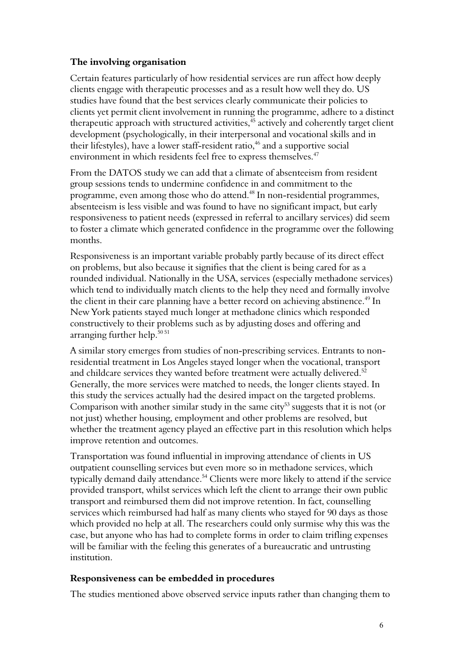#### **The involving organisation**

Certain features particularly of how residential services are run affect how deeply clients engage with therapeutic processes and as a result how well they do. US studies have found that the best services clearly communicate their policies to clients yet permit client involvement in running the programme, adhere to a distinct therapeutic approach with structured activities, $45$  actively and coherently target client development (psychologically, in their interpersonal and vocational skills and in their lifestyles), have a lower staff-resident ratio, $46$  and a supportive social environment in which residents feel free to express themselves.<sup>[47](#page-11-20)</sup>

From the DATOS study we can add that a climate of absenteeism from resident group sessions tends to undermine confidence in and commitment to the programme, even among those who do attend.[48](#page-11-21) In non-residential programmes, absenteeism is less visible and was found to have no significant impact, but early responsiveness to patient needs (expressed in referral to ancillary services) did seem to foster a climate which generated confidence in the programme over the following months.

Responsiveness is an important variable probably partly because of its direct effect on problems, but also because it signifies that the client is being cared for as a rounded individual. Nationally in the USA, services (especially methadone services) which tend to individually match clients to the help they need and formally involve the client in their care planning have a better record on achieving abstinence.<sup>[49](#page-11-22)</sup> In New York patients stayed much longer at methadone clinics which responded constructively to their problems such as by adjusting doses and offering and arranging further help.<sup>[50](#page-11-23) [51](#page-11-24)</sup>

A similar story emerges from studies of non-prescribing services. Entrants to nonresidential treatment in Los Angeles stayed longer when the vocational, transport and childcare services they wanted before treatment were actually delivered.<sup>[52](#page-11-25)</sup> Generally, the more services were matched to needs, the longer clients stayed. In this study the services actually had the desired impact on the targeted problems. Comparison with another similar study in the same city<sup>[53](#page-12-0)</sup> suggests that it is not (or not just) whether housing, employment and other problems are resolved, but whether the treatment agency played an effective part in this resolution which helps improve retention and outcomes.

Transportation was found influential in improving attendance of clients in US outpatient counselling services but even more so in methadone services, which typically demand daily attendance.<sup>[54](#page-12-1)</sup> Clients were more likely to attend if the service provided transport, whilst services which left the client to arrange their own public transport and reimbursed them did not improve retention. In fact, counselling services which reimbursed had half as many clients who stayed for 90 days as those which provided no help at all. The researchers could only surmise why this was the case, but anyone who has had to complete forms in order to claim trifling expenses will be familiar with the feeling this generates of a bureaucratic and untrusting institution.

#### **Responsiveness can be embedded in procedures**

The studies mentioned above observed service inputs rather than changing them to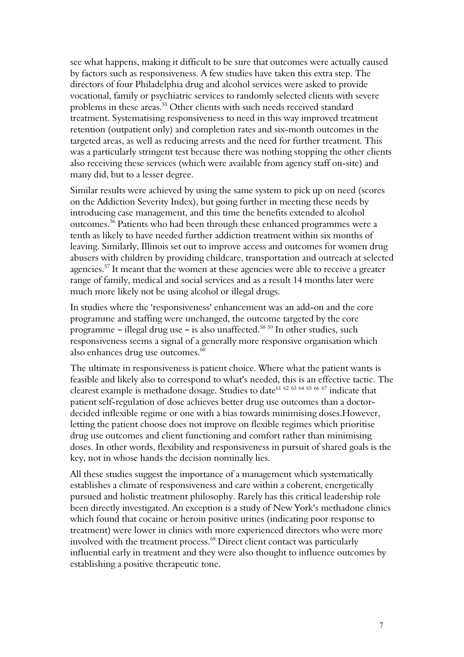see what happens, making it difficult to be sure that outcomes were actually caused by factors such as responsiveness. A few studies have taken this extra step. The directors of four Philadelphia drug and alcohol services were asked to provide vocational, family or psychiatric services to randomly selected clients with severe problems in these areas.<sup>[55](#page-12-2)</sup> Other clients with such needs received standard treatment. Systematising responsiveness to need in this way improved treatment retention (outpatient only) and completion rates and six-month outcomes in the targeted areas, as well as reducing arrests and the need for further treatment. This was a particularly stringent test because there was nothing stopping the other clients also receiving these services (which were available from agency staff on-site) and many did, but to a lesser degree.

Similar results were achieved by using the same system to pick up on need (scores on the Addiction Severity Index), but going further in meeting these needs by introducing case management, and this time the benefits extended to alcohol outcomes.[56](#page-12-3) Patients who had been through these enhanced programmes were a tenth as likely to have needed further addiction treatment within six months of leaving. Similarly, Illinois set out to improve access and outcomes for women drug abusers with children by providing childcare, transportation and outreach at selected agencies.<sup>[57](#page-12-4)</sup> It meant that the women at these agencies were able to receive a greater range of family, medical and social services and as a result 14 months later were much more likely not be using alcohol or illegal drugs.

In studies where the 'responsiveness' enhancement was an add-on and the core programme and staffing were unchanged, the outcome targeted by the core programme - illegal drug use - is also unaffected.<sup>[58](#page-12-5) [59](#page-12-6)</sup> In other studies, such responsiveness seems a signal of a generally more responsive organisation which also enhances drug use outcomes.<sup>[60](#page-12-7)</sup>

The ultimate in responsiveness is patient choice. Where what the patient wants is feasible and likely also to correspond to what's needed, this is an effective tactic. The clearest example is methadone dosage. Studies to date<sup>[61](#page-12-8) [62](#page-12-9) [63](#page-12-10) [64](#page-12-11) [65](#page-12-12) [66](#page-12-13) [67](#page-12-14)</sup> indicate that patient self-regulation of dose achieves better drug use outcomes than a doctordecided inflexible regime or one with a bias towards minimising doses.However, letting the patient choose does not improve on flexible regimes which prioritise drug use outcomes and client functioning and comfort rather than minimising doses. In other words, flexibility and responsiveness in pursuit of shared goals is the key, not in whose hands the decision nominally lies.

All these studies suggest the importance of a management which systematically establishes a climate of responsiveness and care within a coherent, energetically pursued and holistic treatment philosophy. Rarely has this critical leadership role been directly investigated. An exception is a study of New York's methadone clinics which found that cocaine or heroin positive urines (indicating poor response to treatment) were lower in clinics with more experienced directors who were more involved with the treatment process.<sup>[68](#page-12-15)</sup> Direct client contact was particularly influential early in treatment and they were also thought to influence outcomes by establishing a positive therapeutic tone.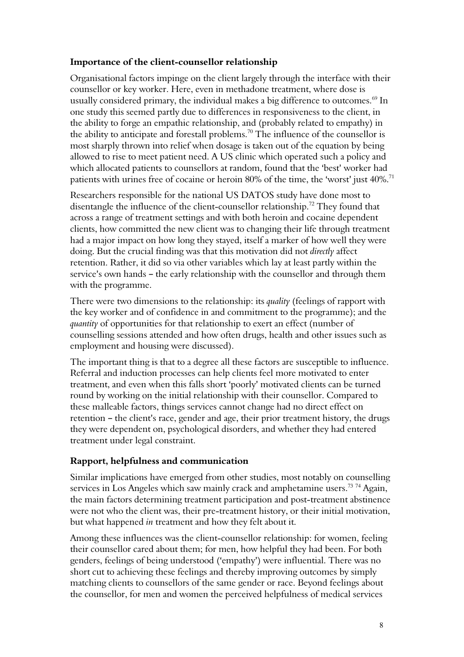#### **Importance of the client-counsellor relationship**

Organisational factors impinge on the client largely through the interface with their counsellor or key worker. Here, even in methadone treatment, where dose is usually considered primary, the individual makes a big difference to outcomes.<sup>[69](#page-12-16)</sup> In one study this seemed partly due to differences in responsiveness to the client, in the ability to forge an empathic relationship, and (probably related to empathy) in the ability to anticipate and forestall problems.<sup>[70](#page-12-17)</sup> The influence of the counsellor is most sharply thrown into relief when dosage is taken out of the equation by being allowed to rise to meet patient need. A US clinic which operated such a policy and which allocated patients to counsellors at random, found that the 'best' worker had patients with urines free of cocaine or heroin  $80\%$  of the time, the 'worst' just  $40\%$ .<sup>[71](#page-12-18)</sup>

Researchers responsible for the national US DATOS study have done most to disentangle the influence of the client-counsellor relationship.<sup>[72](#page-12-19)</sup> They found that across a range of treatment settings and with both heroin and cocaine dependent clients, how committed the new client was to changing their life through treatment had a major impact on how long they stayed, itself a marker of how well they were doing. But the crucial finding was that this motivation did not *directly* affect retention. Rather, it did so via other variables which lay at least partly within the service's own hands – the early relationship with the counsellor and through them with the programme.

There were two dimensions to the relationship: its *quality* (feelings of rapport with the key worker and of confidence in and commitment to the programme); and the *quantity* of opportunities for that relationship to exert an effect (number of counselling sessions attended and how often drugs, health and other issues such as employment and housing were discussed).

The important thing is that to a degree all these factors are susceptible to influence. Referral and induction processes can help clients feel more motivated to enter treatment, and even when this falls short 'poorly' motivated clients can be turned round by working on the initial relationship with their counsellor. Compared to these malleable factors, things services cannot change had no direct effect on retention - the client's race, gender and age, their prior treatment history, the drugs they were dependent on, psychological disorders, and whether they had entered treatment under legal constraint.

#### **Rapport, helpfulness and communication**

Similar implications have emerged from other studies, most notably on counselling services in Los Angeles which saw mainly crack and amphetamine users.<sup>[73](#page-12-20)</sup> [74](#page-12-21) Again, the main factors determining treatment participation and post-treatment abstinence were not who the client was, their pre-treatment history, or their initial motivation, but what happened *in* treatment and how they felt about it.

Among these influences was the client-counsellor relationship: for women, feeling their counsellor cared about them; for men, how helpful they had been. For both genders, feelings of being understood ('empathy') were influential. There was no short cut to achieving these feelings and thereby improving outcomes by simply matching clients to counsellors of the same gender or race. Beyond feelings about the counsellor, for men and women the perceived helpfulness of medical services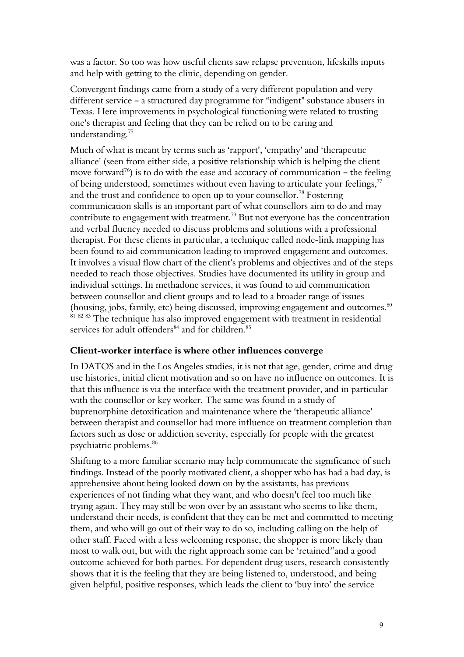was a factor. So too was how useful clients saw relapse prevention, lifeskills inputs and help with getting to the clinic, depending on gender.

Convergent findings came from a study of a very different population and very different service  $-$  a structured day programme for "indigent" substance abusers in Texas. Here improvements in psychological functioning were related to trusting one's therapist and feeling that they can be relied on to be caring and understanding.[75](#page-12-22)

Much of what is meant by terms such as 'rapport', 'empathy' and 'therapeutic alliance' (seen from either side, a positive relationship which is helping the client move forward<sup>[76](#page-12-23)</sup>) is to do with the ease and accuracy of communication – the feeling of being understood, sometimes without even having to articulate your feelings,  $77$ and the trust and confidence to open up to your counsellor.<sup>[78](#page-12-25)</sup> Fostering communication skills is an important part of what counsellors aim to do and may contribute to engagement with treatment.<sup>[79](#page-12-26)</sup> But not everyone has the concentration and verbal fluency needed to discuss problems and solutions with a professional therapist. For these clients in particular, a technique called node-link mapping has been found to aid communication leading to improved engagement and outcomes. It involves a visual flow chart of the client's problems and objectives and of the steps needed to reach those objectives. Studies have documented its utility in group and individual settings. In methadone services, it was found to aid communication between counsellor and client groups and to lead to a broader range of issues (housing, jobs, family, etc) being discussed, improving engagement and outcomes.<sup>[80](#page-13-0)</sup> [81](#page-13-1) [82](#page-13-2) [83](#page-13-3) The technique has also improved engagement with treatment in residential services for adult offenders<sup>[84](#page-13-4)</sup> and for children.<sup>[85](#page-13-5)</sup>

#### **Client-worker interface is where other influences converge**

In DATOS and in the Los Angeles studies, it is not that age, gender, crime and drug use histories, initial client motivation and so on have no influence on outcomes. It is that this influence is via the interface with the treatment provider, and in particular with the counsellor or key worker. The same was found in a study of buprenorphine detoxification and maintenance where the 'therapeutic alliance' between therapist and counsellor had more influence on treatment completion than factors such as dose or addiction severity, especially for people with the greatest psychiatric problems.[86](#page-13-6)

Shifting to a more familiar scenario may help communicate the significance of such findings. Instead of the poorly motivated client, a shopper who has had a bad day, is apprehensive about being looked down on by the assistants, has previous experiences of not finding what they want, and who doesn't feel too much like trying again. They may still be won over by an assistant who seems to like them, understand their needs, is confident that they can be met and committed to meeting them, and who will go out of their way to do so, including calling on the help of other staff. Faced with a less welcoming response, the shopper is more likely than most to walk out, but with the right approach some can be 'retained''and a good outcome achieved for both parties. For dependent drug users, research consistently shows that it is the feeling that they are being listened to, understood, and being given helpful, positive responses, which leads the client to 'buy into' the service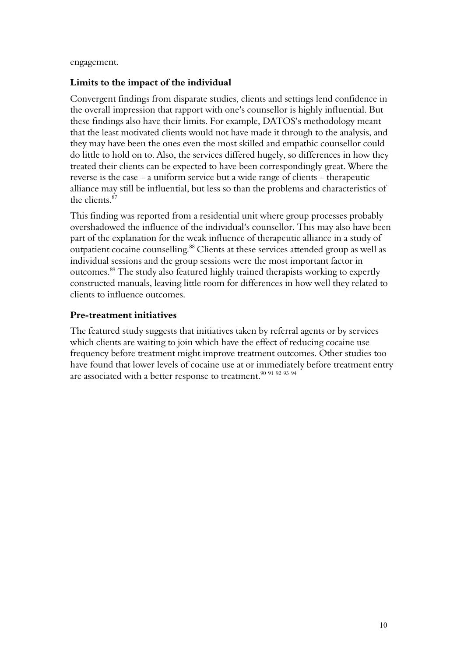engagement.

#### **Limits to the impact of the individual**

Convergent findings from disparate studies, clients and settings lend confidence in the overall impression that rapport with one's counsellor is highly influential. But these findings also have their limits. For example, DATOS's methodology meant that the least motivated clients would not have made it through to the analysis, and they may have been the ones even the most skilled and empathic counsellor could do little to hold on to. Also, the services differed hugely, so differences in how they treated their clients can be expected to have been correspondingly great. Where the reverse is the case – a uniform service but a wide range of clients – therapeutic alliance may still be influential, but less so than the problems and characteristics of the clients.[87](#page-13-7)

This finding was reported from a residential unit where group processes probably overshadowed the influence of the individual's counsellor. This may also have been part of the explanation for the weak influence of therapeutic alliance in a study of outpatient cocaine counselling.<sup>[88](#page-13-8)</sup> Clients at these services attended group as well as individual sessions and the group sessions were the most important factor in outcomes.[89](#page-13-9) The study also featured highly trained therapists working to expertly constructed manuals, leaving little room for differences in how well they related to clients to influence outcomes.

#### **Pre-treatment initiatives**

The featured study suggests that initiatives taken by referral agents or by services which clients are waiting to join which have the effect of reducing cocaine use frequency before treatment might improve treatment outcomes. Other studies too have found that lower levels of cocaine use at or immediately before treatment entry are associated with a better response to treatment.<sup>[90](#page-13-10) [91](#page-13-11) [92](#page-13-12) [93](#page-13-13) [94](#page-13-14)</sup>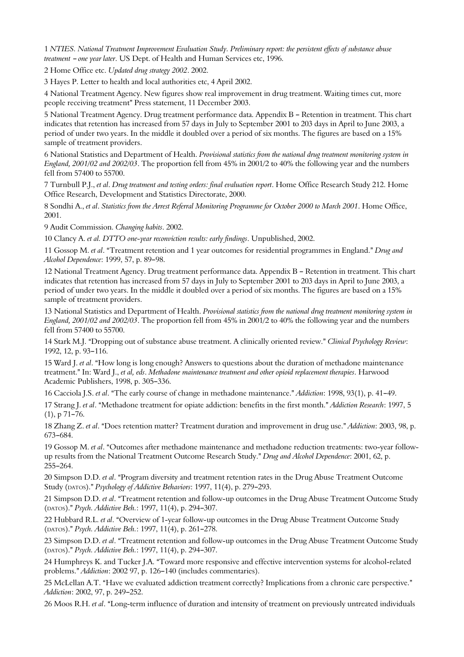<span id="page-10-0"></span>1 *NTIES. National Treatment Improvement Evaluation Study. Preliminary report: the persistent effects of substance abuse treatment - one year later*. US Dept. of Health and Human Services etc, 1996.

<span id="page-10-1"></span>2 Home Office etc. *Updated drug strategy 2002*. 2002.

<span id="page-10-2"></span>3 Hayes P. Letter to health and local authorities etc, 4 April 2002.

<span id="page-10-3"></span>4 National Treatment Agency. New figures show real improvement in drug treatment. Waiting times cut, more people receiving treatment" Press statement, 11 December 2003.

<span id="page-10-4"></span>5 National Treatment Agency. Drug treatment performance data. Appendix B - Retention in treatment. This chart indicates that retention has increased from 57 days in July to September 2001 to 203 days in April to June 2003, a period of under two years. In the middle it doubled over a period of six months. The figures are based on a 15% sample of treatment providers.

<span id="page-10-5"></span>6 National Statistics and Department of Health. *Provisional statistics from the national drug treatment monitoring system in England, 2001/02 and 2002/03*. The proportion fell from 45% in 2001/2 to 40% the following year and the numbers fell from 57400 to 55700.

<span id="page-10-6"></span>7 Turnbull P.J., *et al*. *Drug treatment and testing orders: final evaluation report*. Home Office Research Study 212. Home Office Research, Development and Statistics Directorate, 2000.

<span id="page-10-7"></span>8 Sondhi A., *et al*. *Statistics from the Arrest Referral Monitoring Programme for October 2000 to March 2001*. Home Office, 2001.

<span id="page-10-8"></span>9 Audit Commission. *Changing habits*. 2002.

<span id="page-10-9"></span>10 Clancy A. *et al. DTTO one-year reconviction results: early findings*. Unpublished, 2002.

<span id="page-10-10"></span>11 Gossop M. *et al.* "Treatment retention and 1 year outcomes for residential programmes in England." Drug and *Alcohol Dependence*: 1999, 57, p. 89-98.

<span id="page-10-11"></span>12 National Treatment Agency. Drug treatment performance data. Appendix B - Retention in treatment. This chart indicates that retention has increased from 57 days in July to September 2001 to 203 days in April to June 2003, a period of under two years. In the middle it doubled over a period of six months. The figures are based on a 15% sample of treatment providers.

<span id="page-10-12"></span>13 National Statistics and Department of Health. *Provisional statistics from the national drug treatment monitoring system in England, 2001/02 and 2002/03*. The proportion fell from 45% in 2001/2 to 40% the following year and the numbers fell from 57400 to 55700.

<span id="page-10-13"></span>14 Stark M.J. "Dropping out of substance abuse treatment. A clinically oriented review." *Clinical Psychology Review*: 1992, 12, p. 93-116.

<span id="page-10-14"></span>15 Ward J. *et al.* "How long is long enough? Answers to questions about the duration of methadone maintenance treatment.@ In: Ward J., *et al, eds*. *Methadone maintenance treatment and other opioid replacement therapies*. Harwood Academic Publishers, 1998, p. 305-336.

<span id="page-10-15"></span>16 Cacciola J.S. *et al.* "The early course of change in methadone maintenance." *Addiction*: 1998, 93(1), p. 41-49.

<span id="page-10-16"></span>17 Strang J. *et al.* "Methadone treatment for opiate addiction: benefits in the first month." *Addiction Research*: 1997, 5  $(1)$ , p 71-76.

<span id="page-10-17"></span>18 Zhang Z. *et al.* "Does retention matter? Treatment duration and improvement in drug use." Addiction: 2003, 98, p. 673-684.

<span id="page-10-18"></span>19 Gossop M. et al. "Outcomes after methadone maintenance and methadone reduction treatments: two-year followup results from the National Treatment Outcome Research Study." Drug and Alcohol Dependence: 2001, 62, p. 255-264.

<span id="page-10-19"></span>20 Simpson D.D. *et al.* "Program diversity and treatment retention rates in the Drug Abuse Treatment Outcome Study (DATOS)." Psychology of Addictive Behaviors: 1997, 11(4), p. 279-293.

<span id="page-10-20"></span>21 Simpson D.D. *et al.* "Treatment retention and follow-up outcomes in the Drug Abuse Treatment Outcome Study (DATOS)." Psych. Addictive Beh.: 1997, 11(4), p. 294-307.

<span id="page-10-21"></span>22 Hubbard R.L. *et al.* "Overview of 1-year follow-up outcomes in the Drug Abuse Treatment Outcome Study (DATOS)." Psych. Addictive Beh.: 1997, 11(4), p. 261-278.

<span id="page-10-22"></span>23 Simpson D.D. *et al.* "Treatment retention and follow-up outcomes in the Drug Abuse Treatment Outcome Study (DATOS)." Psych. Addictive Beh.: 1997, 11(4), p. 294-307.

<span id="page-10-23"></span>24 Humphreys K. and Tucker J.A. "Toward more responsive and effective intervention systems for alcohol-related problems." Addiction: 2002 97, p. 126-140 (includes commentaries).

<span id="page-10-24"></span>25 McLellan A.T. "Have we evaluated addiction treatment correctly? Implications from a chronic care perspective." *Addiction*: 2002, 97, p. 249-252.

<span id="page-10-25"></span>26 Moos R.H. *et al.* "Long-term influence of duration and intensity of treatment on previously untreated individuals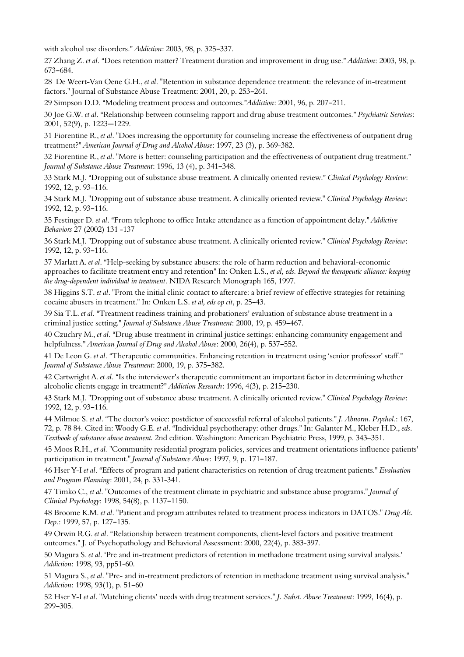with alcohol use disorders." *Addiction*: 2003, 98, p. 325-337.

<span id="page-11-0"></span>27 Zhang Z. *et al.* "Does retention matter? Treatment duration and improvement in drug use." Addiction: 2003, 98, p. 673-684.

<span id="page-11-1"></span>28 De Weert-Van Oene G.H., *et al*. "Retention in substance dependence treatment: the relevance of in-treatment factors." Journal of Substance Abuse Treatment: 2001, 20, p. 253-261.

<span id="page-11-2"></span>29 Simpson D.D. "Modeling treatment process and outcomes."Addiction: 2001, 96, p. 207-211.

<span id="page-11-3"></span>30 Joe G.W. *et al.* "Relationship between counseling rapport and drug abuse treatment outcomes." *Psychiatric Services*: 2001, 52(9), p. 1223-1229.

<span id="page-11-4"></span>31 Fiorentine R., *et al*. "Does increasing the opportunity for counseling increase the effectiveness of outpatient drug treatment?" American Journal of Drug and Alcohol Abuse: 1997, 23 (3), p. 369-382.

<span id="page-11-5"></span>32 Fiorentine R., *et al.* "More is better: counseling participation and the effectiveness of outpatient drug treatment." *Journal of Substance Abuse Treatment*: 1996, 13 (4), p. 341-348.

<span id="page-11-6"></span>33 Stark M.J. "Dropping out of substance abuse treatment. A clinically oriented review." *Clinical Psychology Review*: 1992, 12, p. 93–116.

<span id="page-11-7"></span>34 Stark M.J. "Dropping out of substance abuse treatment. A clinically oriented review." *Clinical Psychology Review*: 1992, 12, p. 93-116.

<span id="page-11-8"></span>35 Festinger D. *et al.* "From telephone to office Intake attendance as a function of appointment delay." Addictive *Behaviors* 27 (2002) 131 -137

<span id="page-11-9"></span>36 Stark M.J. "Dropping out of substance abuse treatment. A clinically oriented review." *Clinical Psychology Review*: 1992, 12, p. 93-116.

<span id="page-11-10"></span>37 Marlatt A. *et al.* "Help-seeking by substance abusers: the role of harm reduction and behavioral-economic approaches to facilitate treatment entry and retention" In: Onken L.S., *et al, eds. Beyond the therapeutic alliance: keeping the drug-dependent individual in treatment*. NIDA Research Monograph 165, 1997.

<span id="page-11-11"></span>38 Higgins S.T. *et al*. "From the initial clinic contact to aftercare: a brief review of effective strategies for retaining cocaine abusers in treatment." In: Onken L.S. *et al, eds op cit*, p. 25-43.

<span id="page-11-12"></span>39 Sia T.L. *et al.* "Treatment readiness training and probationers' evaluation of substance abuse treatment in a criminal justice setting." *Journal of Substance Abuse Treatment*: 2000, 19, p. 459-467.

<span id="page-11-13"></span>40 Czuchry M., *et al.* "Drug abuse treatment in criminal justice settings: enhancing community engagement and helpfulness." *American Journal of Drug and Alcohol Abuse*: 2000, 26(4), p. 537–552.

<span id="page-11-14"></span>41 De Leon G. *et al.* "Therapeutic communities. Enhancing retention in treatment using 'senior professor' staff." *Journal of Substance Abuse Treatment*: 2000, 19, p. 375-382.

<span id="page-11-15"></span>42 Cartwright A. *et al*. "Is the interviewer's therapeutic commitment an important factor in determining whether alcoholic clients engage in treatment?" *Addiction Research*: 1996, 4(3), p. 215–230.

<span id="page-11-16"></span>43 Stark M.J. "Dropping out of substance abuse treatment. A clinically oriented review." *Clinical Psychology Review*: 1992, 12, p. 93-116.

<span id="page-11-17"></span>44 Milmoe S. et al. "The doctor's voice: postdictor of successful referral of alcohol patients." *J. Abnorm. Psychol.*: 167, 72, p. 78 84. Cited in: Woody G.E. et al. "Individual psychotherapy: other drugs." In: Galanter M., Kleber H.D., eds. *Textbook of substance abuse treatment.* 2nd edition. Washington: American Psychiatric Press, 1999, p. 343–351.

<span id="page-11-18"></span>45 Moos R.H., *et al.* "Community residential program policies, services and treatment orientations influence patients= participation in treatment." *Journal of Substance Abuse*: 1997, 9, p. 171-187.

<span id="page-11-19"></span>46 Hser Y-I et al. "Effects of program and patient characteristics on retention of drug treatment patients." Evaluation *and Program Planning*: 2001, 24, p. 331-341.

<span id="page-11-20"></span>47 Timko C., *et al*. "Outcomes of the treatment climate in psychiatric and substance abuse programs." *Journal of Clinical Psychology*: 1998, 54(8), p. 1137-1150.

<span id="page-11-21"></span>48 Broome K.M. *et al*. "Patient and program attributes related to treatment process indicators in DATOS." *Drug Alc. Dep.*: 1999, 57, p. 127-135.

<span id="page-11-22"></span>49 Orwin R.G. *et al.* "Relationship between treatment components, client-level factors and positive treatment outcomes." J. of Psychopathology and Behavioral Assessment: 2000, 22(4), p. 383-397.

<span id="page-11-23"></span>50 Magura S. *et al.* 'Pre and in-treatment predictors of retention in methadone treatment using survival analysis.' *Addiction*: 1998, 93, pp51-60.

<span id="page-11-24"></span>51 Magura S., *et al*. "Pre- and in-treatment predictors of retention in methadone treatment using survival analysis." *Addiction*: 1998, 93(1), p. 51-60

<span id="page-11-25"></span>52 Hser Y-I et al. "Matching clients' needs with drug treatment services." *J. Subst. Abuse Treatment*: 1999, 16(4), p. 299-305.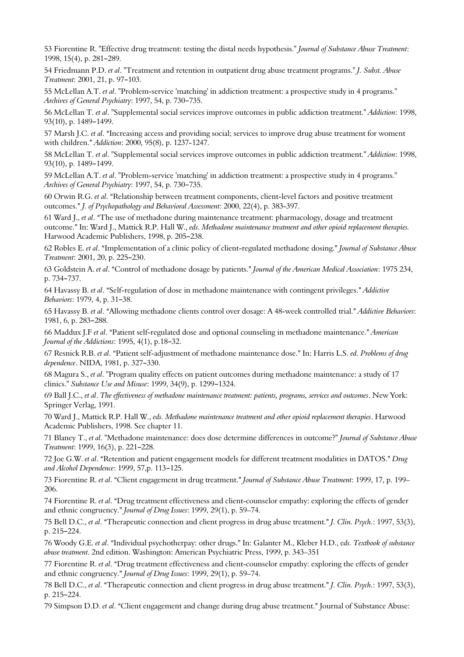<span id="page-12-0"></span>53 Fiorentine R. "Effective drug treatment: testing the distal needs hypothesis." *Journal of Substance Abuse Treatment*: 1998, 15(4), p. 281-289.

<span id="page-12-1"></span>54 Friedmann P.D. *et al*. "Treatment and retention in outpatient drug abuse treatment programs." *J. Subst. Abuse Treatment*: 2001, 21, p. 97-103.

<span id="page-12-2"></span>55 McLellan A.T. *et al*. "Problem-service 'matching' in addiction treatment: a prospective study in 4 programs." *Archives of General Psychiatry: 1997, 54, p. 730-735.* 

<span id="page-12-3"></span>56 McLellan T. *et al*. "Supplemental social services improve outcomes in public addiction treatment." *Addiction*: 1998, 93(10), p. 1489-1499.

<span id="page-12-4"></span>57 Marsh I.C. *et al.* "Increasing access and providing social; services to improve drug abuse treatment for woment with children.@ *Addiction*: 2000, 95(8), p. 1237-1247.

<span id="page-12-5"></span>58 McLellan T. *et al*. "Supplemental social services improve outcomes in public addiction treatment." *Addiction*: 1998, 93(10), p. 1489-1499.

<span id="page-12-6"></span>59 McLellan A.T. *et al*. "Problem-service 'matching' in addiction treatment: a prospective study in 4 programs." *Archives of General Psychiatry:* 1997, 54, p. 730-735.

<span id="page-12-7"></span>60 Orwin R.G. *et al.* "Relationship between treatment components, client-level factors and positive treatment outcomes." *J. of Psychopathology and Behavioral Assessment*: 2000, 22(4), p. 383-397.

<span id="page-12-8"></span>61 Ward J., *et al.* "The use of methadone during maintenance treatment: pharmacology, dosage and treatment outcome.@ In: Ward J., Mattick R.P. Hall W., *eds*. *Methadone maintenance treatment and other opioid replacement therapies.* Harwood Academic Publishers, 1998, p. 205-238.

<span id="page-12-9"></span>62 Robles E. *et al*. AImplementation of a clinic policy of client-regulated methadone dosing.@ *Journal of Substance Abuse Treatment*: 2001, 20, p. 225-230.

<span id="page-12-10"></span>63 Goldstein A. *et al.* "Control of methadone dosage by patients." *Journal of the American Medical Association*: 1975 234, p. 734-737.

<span id="page-12-11"></span>64 Havassy B. *et al.* "Self-regulation of dose in methadone maintenance with contingent privileges." *Addictive Behaviors*: 1979, 4, p. 31-38.

<span id="page-12-12"></span>65 Havassy B. *et al.* "Allowing methadone clients control over dosage: A 48-week controlled trial." *Addictive Behaviors*: 1981, 6, p. 283-288.

<span id="page-12-13"></span>66 Maddux J.F et al. "Patient self-regulated dose and optional counseling in methadone maintenance." American *Journal of the Addictions*: 1995, 4(1), p.18-32.

<span id="page-12-14"></span>67 Resnick R.B. *et al.* "Patient self-adjustment of methadone maintenance dose." In: Harris L.S. *ed. Problems of drug dependence*. NIDA, 1981, p. 327-330.

<span id="page-12-15"></span>68 Magura S., *et al*. "Program quality effects on patient outcomes during methadone maintenance: a study of 17 clinics." *Substance Use and Misuse*: 1999, 34(9), p. 1299-1324.

<span id="page-12-16"></span>69 Ball J.C., *et al*. *The effectiveness of methadone maintenance treatment: patients, programs, services and outcomes*. New York: Springer Verlag, 1991.

<span id="page-12-17"></span>70 Ward J., Mattick R.P. Hall W., *eds. Methadone maintenance treatment and other opioid replacement therapies*. Harwood Academic Publishers, 1998. See chapter 11.

<span id="page-12-18"></span>71 Blaney T., *et al*. "Methadone maintenance: does dose determine differences in outcome?" *Journal of Substance Abuse Treatment*: 1999, 16(3), p. 221-228.

<span id="page-12-19"></span>72 Joe G.W. *et al.* "Retention and patient engagement models for different treatment modalities in DATOS." Drug and Alcohol Dependence: 1999, 57,p. 113-125.

<span id="page-12-20"></span>73 Fiorentine R. *et al.* "Client engagement in drug treatment." Journal of Substance Abuse Treatment: 1999, 17, p. 199– 206.

<span id="page-12-21"></span>74 Fiorentine R. *et al.* "Drug treatment effectiveness and client-counselor empathy: exploring the effects of gender and ethnic congruency." *Journal of Drug Issues*: 1999, 29(1), p. 59-74.

<span id="page-12-22"></span>75 Bell D.C., *et al.* "Therapeutic connection and client progress in drug abuse treatment." *J. Clin. Psych.*: 1997, 53(3), p. 215-224.

<span id="page-12-23"></span>76 Woody G.E. *et al*. AIndividual psychotherpay: other drugs.@ In: Galanter M., Kleber H.D., e*ds. Textbook of substance abuse treatment*. 2nd edition. Washington: American Psychiatric Press, 1999, p. 343–351

<span id="page-12-24"></span>77 Fiorentine R. *et al.* "Drug treatment effectiveness and client-counselor empathy: exploring the effects of gender and ethnic congruency." *Journal of Drug Issues*: 1999, 29(1), p. 59-74.

<span id="page-12-25"></span>78 Bell D.C., *et al.* "Therapeutic connection and client progress in drug abuse treatment." *J. Clin. Psych.*: 1997, 53(3), p. 215-224.

<span id="page-12-26"></span>79 Simpson D.D. *et al.* "Client engagement and change during drug abuse treatment." Journal of Substance Abuse: